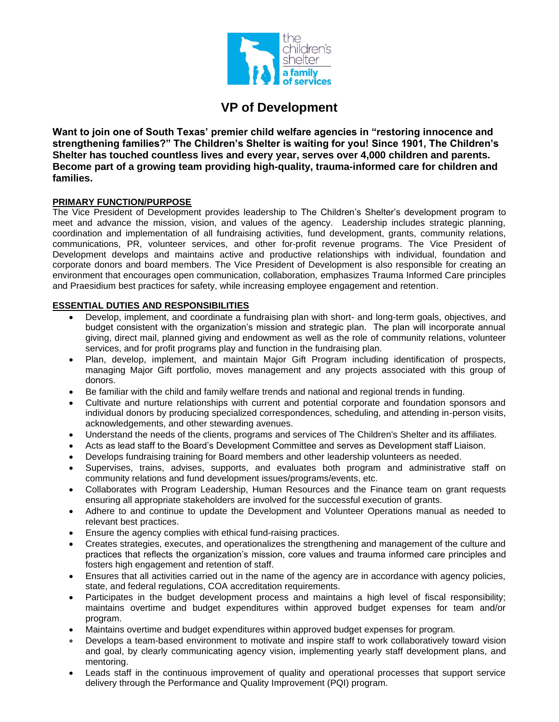

# **VP of Development**

**Want to join one of South Texas' premier child welfare agencies in "restoring innocence and strengthening families?" The Children's Shelter is waiting for you! Since 1901, The Children's Shelter has touched countless lives and every year, serves over 4,000 children and parents. Become part of a growing team providing high-quality, trauma-informed care for children and families.** 

### **PRIMARY FUNCTION/PURPOSE**

The Vice President of Development provides leadership to The Children's Shelter's development program to meet and advance the mission, vision, and values of the agency. Leadership includes strategic planning, coordination and implementation of all fundraising activities, fund development, grants, community relations, communications, PR, volunteer services, and other for-profit revenue programs. The Vice President of Development develops and maintains active and productive relationships with individual, foundation and corporate donors and board members. The Vice President of Development is also responsible for creating an environment that encourages open communication, collaboration, emphasizes Trauma Informed Care principles and Praesidium best practices for safety, while increasing employee engagement and retention.

#### **ESSENTIAL DUTIES AND RESPONSIBILITIES**

- Develop, implement, and coordinate a fundraising plan with short- and long-term goals, objectives, and budget consistent with the organization's mission and strategic plan. The plan will incorporate annual giving, direct mail, planned giving and endowment as well as the role of community relations, volunteer services, and for profit programs play and function in the fundraising plan.
- Plan, develop, implement, and maintain Major Gift Program including identification of prospects, managing Major Gift portfolio, moves management and any projects associated with this group of donors.
- Be familiar with the child and family welfare trends and national and regional trends in funding.
- Cultivate and nurture relationships with current and potential corporate and foundation sponsors and individual donors by producing specialized correspondences, scheduling, and attending in-person visits, acknowledgements, and other stewarding avenues.
- Understand the needs of the clients, programs and services of The Children's Shelter and its affiliates.
- Acts as lead staff to the Board's Development Committee and serves as Development staff Liaison.
- Develops fundraising training for Board members and other leadership volunteers as needed.
- Supervises, trains, advises, supports, and evaluates both program and administrative staff on community relations and fund development issues/programs/events, etc.
- Collaborates with Program Leadership, Human Resources and the Finance team on grant requests ensuring all appropriate stakeholders are involved for the successful execution of grants.
- Adhere to and continue to update the Development and Volunteer Operations manual as needed to relevant best practices.
- Ensure the agency complies with ethical fund-raising practices.
- Creates strategies, executes, and operationalizes the strengthening and management of the culture and practices that reflects the organization's mission, core values and trauma informed care principles and fosters high engagement and retention of staff.
- Ensures that all activities carried out in the name of the agency are in accordance with agency policies, state, and federal regulations, COA accreditation requirements.
- Participates in the budget development process and maintains a high level of fiscal responsibility; maintains overtime and budget expenditures within approved budget expenses for team and/or program.
- Maintains overtime and budget expenditures within approved budget expenses for program.
- Develops a team-based environment to motivate and inspire staff to work collaboratively toward vision and goal, by clearly communicating agency vision, implementing yearly staff development plans, and mentoring.
- Leads staff in the continuous improvement of quality and operational processes that support service delivery through the Performance and Quality Improvement (PQI) program.